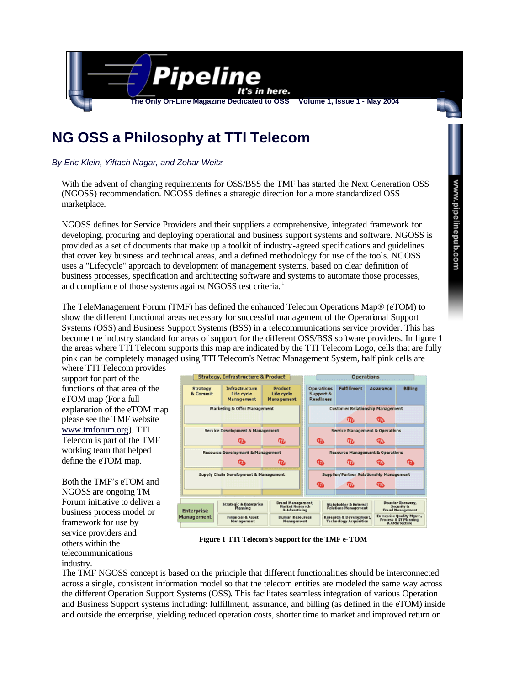

# **NG OSS a Philosophy at TTI Telecom**

*By Eric Klein, Yiftach Nagar, and Zohar Weitz*

With the advent of changing requirements for OSS/BSS the TMF has started the Next Generation OSS (NGOSS) recommendation. NGOSS defines a strategic direction for a more standardized OSS marketplace.

NGOSS defines for Service Providers and their suppliers a comprehensive, integrated framework for developing, procuring and deploying operational and business support systems and software. NGOSS is provided as a set of documents that make up a toolkit of industry-agreed specifications and guidelines that cover key business and technical areas, and a defined methodology for use of the tools. NGOSS uses a "Lifecycle" approach to development of management systems, based on clear definition of business processes, specification and architecting software and systems to automate those processes, and compliance of those systems against NGOSS test criteria.<sup>1</sup>

The TeleManagement Forum (TMF) has defined the enhanced Telecom Operations Map® (eTOM) to show the different functional areas necessary for successful management of the Operational Support Systems (OSS) and Business Support Systems (BSS) in a telecommunications service provider. This has become the industry standard for areas of support for the different OSS/BSS software providers. In figure 1 the areas where TTI Telecom supports this map are indicated by the TTI Telecom Logo, cells that are fully pink can be completely managed using TTI Telecom's Netrac Management System, half pink cells are where TTI Telecom provides

support for part of the functions of that area of the eTOM map (For a full explanation of the eTOM map please see the TMF website www.tmforum.org). TTI Telecom is part of the TMF working team that helped define the eTOM map.

Both the TMF's eTOM and NGOSS are ongoing TM Forum initiative to deliver a business process model or framework for use by service providers and others within the telecommunications industry.



**Figure 1 TTI Telecom's Support for the TMF e-TOM**

The TMF NGOSS concept is based on the principle that different functionalities should be interconnected across a single, consistent information model so that the telecom entities are modeled the same way across the different Operation Support Systems (OSS). This facilitates seamless integration of various Operation and Business Support systems including: fulfillment, assurance, and billing (as defined in the eTOM) inside and outside the enterprise, yielding reduced operation costs, shorter time to market and improved return on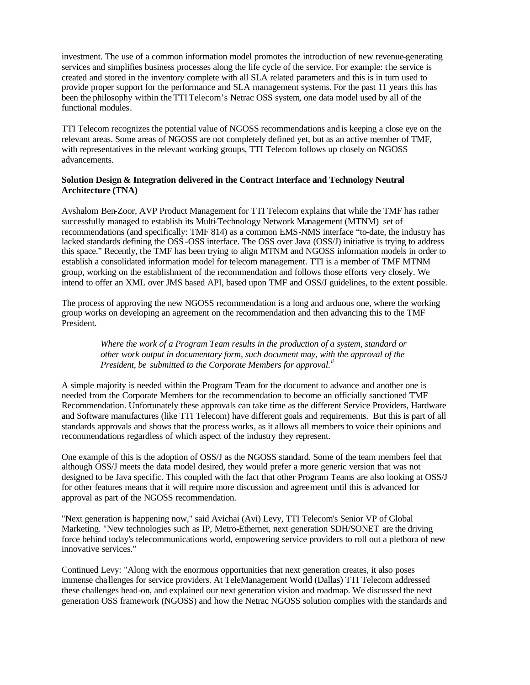investment. The use of a common information model promotes the introduction of new revenue-generating services and simplifies business processes along the life cycle of the service. For example: t he service is created and stored in the inventory complete with all SLA related parameters and this is in turn used to provide proper support for the performance and SLA management systems. For the past 11 years this has been the philosophy within theTTI Telecom's Netrac OSS system, one data model used by all of the functional modules.

TTI Telecom recognizes the potential value of NGOSS recommendations and is keeping a close eye on the relevant areas. Some areas of NGOSS are not completely defined yet, but as an active member of TMF, with representatives in the relevant working groups, TTI Telecom follows up closely on NGOSS advancements.

## **Solution Design & Integration delivered in the Contract Interface and Technology Neutral Architecture (TNA)**

Avshalom Ben-Zoor, AVP Product Management for TTI Telecom explains that while the TMF has rather successfully managed to establish its Multi-Technology Network Management (MTNM) set of recommendations (and specifically: TMF 814) as a common EMS-NMS interface "to-date, the industry has lacked standards defining the OSS-OSS interface. The OSS over Java (OSS/J) initiative is trying to address this space." Recently, the TMF has been trying to align MTNM and NGOSS information models in order to establish a consolidated information model for telecom management. TTI is a member of TMF MTNM group, working on the establishment of the recommendation and follows those efforts very closely. We intend to offer an XML over JMS based API, based upon TMF and OSS/J guidelines, to the extent possible.

The process of approving the new NGOSS recommendation is a long and arduous one, where the working group works on developing an agreement on the recommendation and then advancing this to the TMF President.

> *Where the work of a Program Team results in the production of a system, standard or other work output in documentary form, such document may, with the approval of the President, be submitted to the Corporate Members for approval.ii*

A simple majority is needed within the Program Team for the document to advance and another one is needed from the Corporate Members for the recommendation to become an officially sanctioned TMF Recommendation. Unfortunately these approvals can take time as the different Service Providers, Hardware and Software manufactures (like TTI Telecom) have different goals and requirements. But this is part of all standards approvals and shows that the process works, as it allows all members to voice their opinions and recommendations regardless of which aspect of the industry they represent.

One example of this is the adoption of OSS/J as the NGOSS standard. Some of the team members feel that although OSS/J meets the data model desired, they would prefer a more generic version that was not designed to be Java specific. This coupled with the fact that other Program Teams are also looking at OSS/J for other features means that it will require more discussion and agreement until this is advanced for approval as part of the NGOSS recommendation.

"Next generation is happening now," said Avichai (Avi) Levy, TTI Telecom's Senior VP of Global Marketing. "New technologies such as IP, Metro-Ethernet, next generation SDH/SONET are the driving force behind today's telecommunications world, empowering service providers to roll out a plethora of new innovative services."

Continued Levy: "Along with the enormous opportunities that next generation creates, it also poses immense cha llenges for service providers. At TeleManagement World (Dallas) TTI Telecom addressed these challenges head-on, and explained our next generation vision and roadmap. We discussed the next generation OSS framework (NGOSS) and how the Netrac NGOSS solution complies with the standards and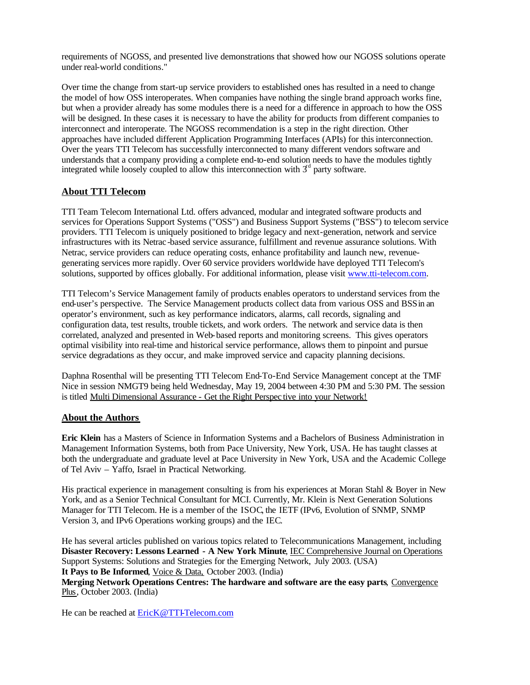requirements of NGOSS, and presented live demonstrations that showed how our NGOSS solutions operate under real-world conditions."

Over time the change from start-up service providers to established ones has resulted in a need to change the model of how OSS interoperates. When companies have nothing the single brand approach works fine, but when a provider already has some modules there is a need for a difference in approach to how the OSS will be designed. In these cases it is necessary to have the ability for products from different companies to interconnect and interoperate. The NGOSS recommendation is a step in the right direction. Other approaches have included different Application Programming Interfaces (APIs) for this interconnection. Over the years TTI Telecom has successfully interconnected to many different vendors software and understands that a company providing a complete end-to-end solution needs to have the modules tightly integrated while loosely coupled to allow this interconnection with  $3<sup>d</sup>$  party software.

# **About TTI Telecom**

TTI Team Telecom International Ltd. offers advanced, modular and integrated software products and services for Operations Support Systems ("OSS") and Business Support Systems ("BSS") to telecom service providers. TTI Telecom is uniquely positioned to bridge legacy and next-generation, network and service infrastructures with its Netrac -based service assurance, fulfillment and revenue assurance solutions. With Netrac, service providers can reduce operating costs, enhance profitability and launch new, revenuegenerating services more rapidly. Over 60 service providers worldwide have deployed TTI Telecom's solutions, supported by offices globally. For additional information, please visit www.tti-telecom.com.

TTI Telecom's Service Management family of products enables operators to understand services from the end-user's perspective. The Service Management products collect data from various OSS and BSS in an operator's environment, such as key performance indicators, alarms, call records, signaling and configuration data, test results, trouble tickets, and work orders. The network and service data is then correlated, analyzed and presented in Web-based reports and monitoring screens. This gives operators optimal visibility into real-time and historical service performance, allows them to pinpoint and pursue service degradations as they occur, and make improved service and capacity planning decisions.

Daphna Rosenthal will be presenting TTI Telecom End-To-End Service Management concept at the TMF Nice in session NMGT9 being held Wednesday, May 19, 2004 between 4:30 PM and 5:30 PM. The session is titled Multi Dimensional Assurance - Get the Right Perspec tive into your Network!

#### **About the Authors**

**Eric Klein** has a Masters of Science in Information Systems and a Bachelors of Business Administration in Management Information Systems, both from Pace University, New York, USA. He has taught classes at both the undergraduate and graduate level at Pace University in New York, USA and the Academic College of Tel Aviv – Yaffo, Israel in Practical Networking.

His practical experience in management consulting is from his experiences at Moran Stahl & Boyer in New York, and as a Senior Technical Consultant for MCI. Currently, Mr. Klein is Next Generation Solutions Manager for TTI Telecom. He is a member of the ISOC, the IETF (IPv6, Evolution of SNMP, SNMP Version 3, and IPv6 Operations working groups) and the IEC.

He has several articles published on various topics related to Telecommunications Management, including **Disaster Recovery: Lessons Learned - A New York Minute**, IEC Comprehensive Journal on Operations Support Systems: Solutions and Strategies for the Emerging Network, July 2003. (USA) **It Pays to Be Informed**, Voice & Data, October 2003. (India)

**Merging Network Operations Centres: The hardware and software are the easy parts**, Convergence Plus, October 2003. (India)

He can be reached at **EricK@TTI-Telecom.com**